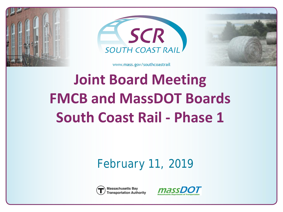





# **Joint Board Meeting FMCB and MassDOT Boards South Coast Rail - Phase 1**

#### *February 11, 2019*



**Massachusetts Bay Transportation Authority** 

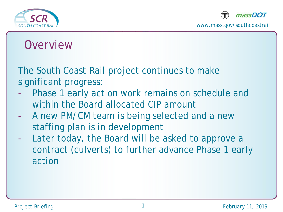



#### **Overview**

The South Coast Rail project continues to make significant progress:

- Phase 1 early action work remains on schedule and within the Board allocated CIP amount
- A new PM/CM team is being selected and a new staffing plan is in development
- Later today, the Board will be asked to approve a contract (culverts) to further advance Phase 1 early action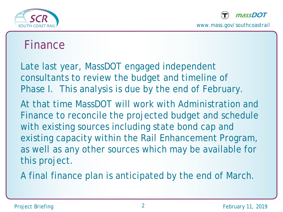



#### Finance

Late last year, MassDOT engaged independent consultants to review the budget and timeline of Phase I. This analysis is due by the end of February.

At that time MassDOT will work with Administration and Finance to reconcile the projected budget and schedule with existing sources including state bond cap and existing capacity within the Rail Enhancement Program, as well as any other sources which may be available for this project.

A final finance plan is anticipated by the end of March.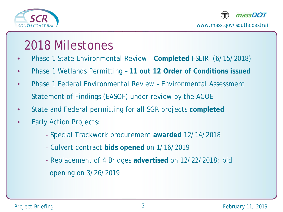



#### 2018 Milestones

- Phase 1 State Environmental Review **Completed** FSEIR (6/15/2018)
- Phase 1 Wetlands Permitting **11 out 12 Order of Conditions issued**
- Phase 1 Federal Environmental Review Environmental Assessment Statement of Findings (EASOF) under review by the ACOE
- State and Federal permitting for all SGR projects **completed**
- **Early Action Projects:** 
	- Special Trackwork procurement **awarded** 12/14/2018
	- Culvert contract **bids opened** on 1/16/2019
	- Replacement of 4 Bridges **advertised** on 12/22/2018; bid opening on 3/26/2019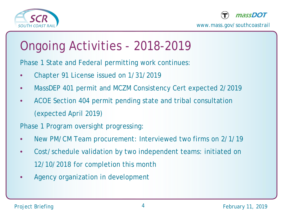



## Ongoing Activities - 2018-2019

Phase 1 State and Federal permitting work continues:

- Chapter 91 License issued on 1/31/2019
- MassDEP 401 permit and MCZM Consistency Cert expected 2/2019
- ACOE Section 404 permit pending state and tribal consultation (expected April 2019)

Phase 1 Program oversight progressing:

- New PM/CM Team procurement: Interviewed two firms on 2/1/19
- Cost/schedule validation by two independent teams: initiated on 12/10/2018 for completion this month
- Agency organization in development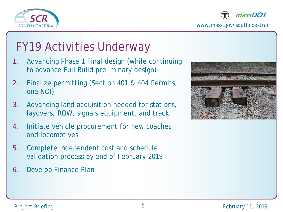



#### FY19 Activities Underway

- 1. Advancing Phase 1 Final design (while continuing to advance Full Build preliminary design)
- 2. Finalize permitting (Section 401 & 404 Permits, one NOI)
- 3. Advancing land acquisition needed for stations, layovers, ROW, signals equipment, and track
- 4. Initiate vehicle procurement for new coaches and locomotives
- 5. Complete independent cost and schedule validation process by end of February 2019
- 6. Develop Finance Plan

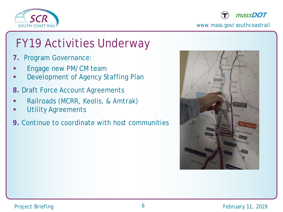



### FY19 Activities Underway

- **7.** Program Governance:
- Engage new PM/CM team
- Development of Agency Staffing Plan
- **8.** Draft Force Account Agreements
- Railroads (MCRR, Keolis, & Amtrak)
- Utility Agreements
- **9.** Continue to coordinate with host communities

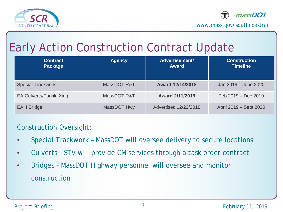



### Early Action Construction Contract Update

| <b>Contract</b><br><b>Package</b> | <b>Agency</b> | Advertisement/<br><b>Award</b> | <b>Construction</b><br><b>Timeline</b> |
|-----------------------------------|---------------|--------------------------------|----------------------------------------|
| <b>Special Trackwork</b>          | MassDOT R&T   | Award 12/14/2018               | Jan 2019 - June 2020                   |
| <b>EA Culverts/Tarkiln Xing</b>   | MassDOT R&T   | <b>Award 2/11/2019</b>         | Feb 2019 - Dec 2019                    |
| EA 4 Bridge                       | MassDOT Hwy   | <b>Advertised 12/22/2018</b>   | April 2019 – Sept 2020                 |

#### Construction Oversight:

- Special Trackwork MassDOT will oversee delivery to secure locations
- Culverts STV will provide CM services through a task order contract
- Bridges MassDOT Highway personnel will oversee and monitor construction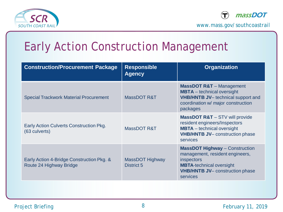



### Early Action Construction Management

| <b>Construction/Procurement Package</b>                              | <b>Responsible</b><br><b>Agency</b>  | <b>Organization</b>                                                                                                                                                             |
|----------------------------------------------------------------------|--------------------------------------|---------------------------------------------------------------------------------------------------------------------------------------------------------------------------------|
| <b>Special Trackwork Material Procurement</b>                        | MassDOT R&T                          | <b>MassDOT R&amp;T</b> - Management<br><b>MBTA</b> – technical oversight<br><b>VHB/HNTB JV-</b> technical support and<br>coordination w/ major construction<br>packages         |
| Early Action Culverts Construction Pkg.<br>(63 culverts)             | MassDOT R&T                          | <b>MassDOT R&amp;T</b> - STV will provide<br>resident engineers/Inspectors<br><b>MBTA</b> – technical oversight<br><b>VHB/HNTB JV-</b> construction phase<br>services           |
| Early Action 4-Bridge Construction Pkg. &<br>Route 24 Highway Bridge | MassDOT Highway<br><b>District 5</b> | <b>MassDOT Highway - Construction</b><br>management, resident engineers,<br>inspectors<br><b>MBTA-technical oversight</b><br><b>VHB/HNTB JV-</b> construction phase<br>services |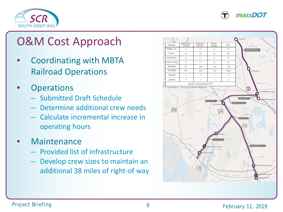



#### O&M Cost Approach

- Coordinating with MBTA Railroad Operations
- **Operations** 
	- Submitted Draft Schedule
	- Determine additional crew needs
	- Calculate incremental increase in operating hours
- **Maintenance** 
	- Provided list of infrastructure
	- Develop crew sizes to maintain an additional 38 miles of right-of way

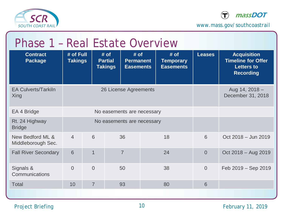



| Phase 1 - Real Estate Overview         |                             |                |                                          |                                              |                                              |                |                                                                                          |
|----------------------------------------|-----------------------------|----------------|------------------------------------------|----------------------------------------------|----------------------------------------------|----------------|------------------------------------------------------------------------------------------|
| <b>Contract</b><br><b>Package</b>      | # of Full<br><b>Takings</b> |                | # of<br><b>Partial</b><br><b>Takings</b> | # of<br><b>Permanent</b><br><b>Easements</b> | # of<br><b>Temporary</b><br><b>Easements</b> | <b>Leases</b>  | <b>Acquisition</b><br><b>Timeline for Offer</b><br><b>Letters to</b><br><b>Recording</b> |
| <b>EA Culverts/Tarkiln</b><br>Xing     | 26 License Agreements       |                |                                          |                                              |                                              |                | Aug 14, 2018 -<br>December 31, 2018                                                      |
| EA 4 Bridge                            | No easements are necessary  |                |                                          |                                              |                                              |                |                                                                                          |
| Rt. 24 Highway<br><b>Bridge</b>        | No easements are necessary  |                |                                          |                                              |                                              |                |                                                                                          |
| New Bedford ML &<br>Middleborough Sec. | $\overline{4}$              | 6              | 36                                       |                                              | 18                                           | 6              | Oct 2018 - Jun 2019                                                                      |
| <b>Fall River Secondary</b>            | 6                           | 1              | $\overline{7}$                           |                                              | 24                                           | $\overline{0}$ | Oct 2018 - Aug 2019                                                                      |
| Signals &<br>Communications            | $\Omega$                    | $\Omega$       | 50                                       |                                              | 38                                           | $\overline{0}$ | Feb 2019 - Sep 2019                                                                      |
| <b>Total</b>                           | 10                          | $\overline{7}$ | 93                                       |                                              | 80                                           | 6              |                                                                                          |
|                                        |                             |                |                                          |                                              |                                              |                |                                                                                          |

#### Project Briefing **10** 10 February 11, 2019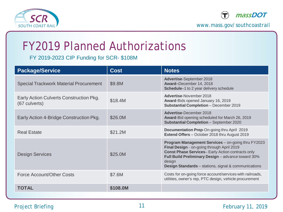



#### FY2019 Planned Authorizations

FY 2019-2023 CIP Funding for SCR- \$108M

| <b>Package/Service</b>                                   | <b>Cost</b> | <b>Notes</b>                                                                                                                                                                                                                                                                               |
|----------------------------------------------------------|-------------|--------------------------------------------------------------------------------------------------------------------------------------------------------------------------------------------------------------------------------------------------------------------------------------------|
| <b>Special Trackwork Material Procurement</b>            | \$9.8M      | <b>Advertise-September 2018</b><br>Award-December 14, 2018<br>Schedule-1 to 2 year delivery schedule                                                                                                                                                                                       |
| Early Action Culverts Construction Pkg.<br>(67 culverts) | \$18.4M     | Advertise-November 2018<br>Award-Bids opened January 16, 2019<br>Substantial Completion - December 2019                                                                                                                                                                                    |
| Early Action 4-Bridge Construction Pkg.                  | \$26.0M     | <b>Advertise-December 2018</b><br>Award-Bid opening scheduled for March 26, 2019<br>Substantial Completion - September 2020                                                                                                                                                                |
| <b>Real Estate</b>                                       | \$21.2M     | Documentation Prep-On-going thru April 2019<br>Extend Offers - October 2018 thru August 2019                                                                                                                                                                                               |
| <b>Design Services</b>                                   | \$25.0M     | Program Management Services - on-going thru FY2023<br>Final Design - on-going through April 2019<br><b>Const Phase Services-Early Action contracts only</b><br>Full Build Preliminary Design - advance toward 30%<br>design<br><b>Design Standards</b> – stations, signal & communications |
| Force Account/Other Costs                                | \$7.6M      | Costs for on-going force account/services with railroads,<br>utilities, owner's rep, PTC design, vehicle procurement                                                                                                                                                                       |
| <b>TOTAL</b>                                             | \$108.0M    |                                                                                                                                                                                                                                                                                            |